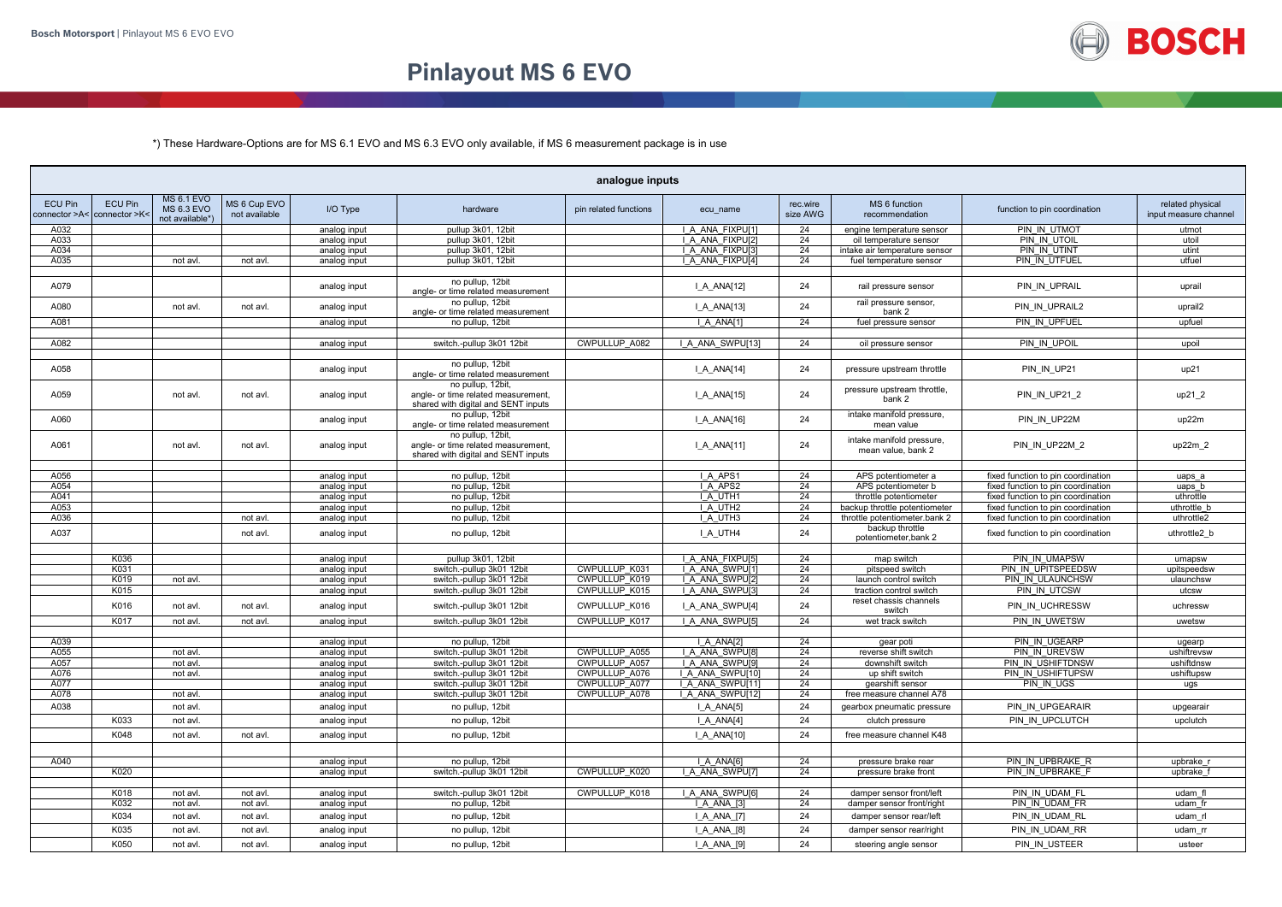## \*) These Hardware-Options are for MS 6.1 EVO and MS 6.3 EVO only available, if MS 6 measurement package is in use

|                                               | analogue inputs |                                                          |                               |                              |                                                                                                 |                       |                                  |                      |                                                         |                                                                          |                                           |  |  |
|-----------------------------------------------|-----------------|----------------------------------------------------------|-------------------------------|------------------------------|-------------------------------------------------------------------------------------------------|-----------------------|----------------------------------|----------------------|---------------------------------------------------------|--------------------------------------------------------------------------|-------------------------------------------|--|--|
| <b>ECU Pin</b><br>connector >A< connector >K< | ECU Pin         | <b>MS 6.1 EVO</b><br><b>MS 6.3 EVO</b><br>not available* | MS 6 Cup EVO<br>not available | I/O Type                     | hardware                                                                                        | pin related functions | ecu name                         | rec.wire<br>size AWG | MS 6 function<br>recommendation                         | function to pin coordination                                             | related physical<br>input measure channel |  |  |
| A032                                          |                 |                                                          |                               | analog input                 | pullup 3k01, 12bit                                                                              |                       | I A ANA FIXPU[1]                 | 24                   | engine temperature sensor                               | PIN IN UTMOT                                                             | utmot                                     |  |  |
| A033                                          |                 |                                                          |                               | analog input                 | pullup 3k01, 12bit                                                                              |                       | I A ANA FIXPUI21                 | 24                   | oil temperature sensor                                  | PIN IN UTOIL                                                             | utoil                                     |  |  |
| A034                                          |                 |                                                          |                               | analog input                 | pullup 3k01, 12bit                                                                              |                       | I A ANA FIXPU[3]                 | 24                   | intake air temperature sensor                           | PIN IN UTINT                                                             | utint                                     |  |  |
| A035                                          |                 | not avl.                                                 | not avl.                      | analog input                 | pullup 3k01, 12bit                                                                              |                       | I A ANA FIXPU[4]                 | 24                   | fuel temperature sensor                                 | PIN IN UTFUEL                                                            | utfuel                                    |  |  |
| A079                                          |                 |                                                          |                               | analog input                 | no pullup, 12bit<br>angle- or time related measurement                                          |                       | $\overline{A}$ ANA[12]           | 24                   | rail pressure sensor                                    | PIN IN UPRAIL                                                            | uprail                                    |  |  |
| A080                                          |                 | not avl.                                                 | not avl.                      | analog input                 | no pullup, 12bit                                                                                |                       | I A ANA[13]                      | 24                   | rail pressure sensor,                                   | PIN IN UPRAIL2                                                           | uprail2                                   |  |  |
| A081                                          |                 |                                                          |                               |                              | angle- or time related measurement<br>no pullup, 12bit                                          |                       |                                  | 24                   | bank 2<br>fuel pressure sensor                          | PIN IN UPFUEL                                                            | upfuel                                    |  |  |
|                                               |                 |                                                          |                               | analog input                 |                                                                                                 |                       | I A ANA[1]                       |                      |                                                         |                                                                          |                                           |  |  |
| A082                                          |                 |                                                          |                               | analog input                 | switch.-pullup 3k01 12bit                                                                       | CWPULLUP A082         | I A ANA SWPU[13]                 | 24                   | oil pressure sensor                                     | PIN IN UPOIL                                                             | upoil                                     |  |  |
|                                               |                 |                                                          |                               |                              |                                                                                                 |                       |                                  |                      |                                                         |                                                                          |                                           |  |  |
| A058                                          |                 |                                                          |                               | analog input                 | no pullup, 12bit<br>angle- or time related measurement                                          |                       | $I$ A ANA[14]                    | 24                   | pressure upstream throttle                              | PIN IN UP21                                                              | up21                                      |  |  |
| A059                                          |                 | not avl.                                                 | not avl.                      | analog input                 | no pullup, 12bit,<br>angle- or time related measurement.<br>shared with digital and SENT inputs |                       | $\overline{A}$ ANA[15]           | 24                   | pressure upstream throttle,<br>bank 2                   | PIN_IN_UP21_2                                                            | up21_2                                    |  |  |
| A060                                          |                 |                                                          |                               | analog input                 | no pullup, 12bit<br>angle- or time related measurement                                          |                       | I_A_ANA[16]                      | 24                   | intake manifold pressure,<br>mean value                 | PIN IN UP22M                                                             | up22m                                     |  |  |
| A061                                          |                 | not avl.                                                 | not avl.                      | analog input                 | no pullup, 12bit,<br>angle- or time related measurement<br>shared with digital and SENT inputs  |                       | $L_A$ ANA[11]                    | 24                   | intake manifold pressure,<br>mean value, bank 2         | PIN_IN_UP22M_2                                                           | up22m_2                                   |  |  |
|                                               |                 |                                                          |                               |                              |                                                                                                 |                       |                                  |                      |                                                         |                                                                          |                                           |  |  |
| A056                                          |                 |                                                          |                               | analog input                 | no pullup, 12bit                                                                                |                       | I A APS1                         | 24                   | APS potentiometer a                                     | fixed function to pin coordination                                       | uaps a                                    |  |  |
| A054                                          |                 |                                                          |                               | analog input                 | no pullup, 12bit                                                                                |                       | I A APS2                         | 24                   | APS potentiometer b                                     | fixed function to pin coordination                                       | uaps b                                    |  |  |
| A041<br>A053                                  |                 |                                                          |                               | analog input<br>analog input | no pullup, 12bit<br>no pullup, 12bit                                                            |                       | I A UTH1<br>I A UTH2             | 24<br>24             | throttle potentiometer<br>backup throttle potentiometer | fixed function to pin coordination<br>fixed function to pin coordination | uthrottle<br>uthrottle b                  |  |  |
| A036                                          |                 |                                                          | not avl.                      | analog input                 | no pullup, 12bit                                                                                |                       | $\overline{1}$ A UTH3            | 24                   | throttle potentiometer bank 2                           | fixed function to pin coordination                                       | uthrottle2                                |  |  |
| A037                                          |                 |                                                          | not avl.                      | analog input                 | no pullup, 12bit                                                                                |                       | I A UTH4                         | 24                   | backup throttle<br>potentiometer, bank 2                | fixed function to pin coordination                                       | uthrottle2 b                              |  |  |
|                                               |                 |                                                          |                               |                              |                                                                                                 |                       |                                  |                      |                                                         |                                                                          |                                           |  |  |
|                                               | K036            |                                                          |                               | analog input                 | pullup 3k01, 12bit                                                                              |                       | I A ANA FIXPU[5]                 | 24                   | map switch                                              | <b>PIN IN UMAPSW</b>                                                     | umapsw                                    |  |  |
|                                               | K031            |                                                          |                               | analog input                 | switch.-pullup 3k01 12bit                                                                       | CWPULLUP K031         | I A ANA SWPU[1]                  | 24                   | pitspeed switch                                         | PIN IN UPITSPEEDSW                                                       | upitspeedsw                               |  |  |
|                                               | K019            | not avl.                                                 |                               | analog input                 | switch.-pullup 3k01 12bit                                                                       | CWPULLUP K019         | I A ANA SWPU[2]                  | 24                   | launch control switch                                   | PIN IN ULAUNCHSW                                                         | ulaunchsw                                 |  |  |
|                                               | K015            |                                                          |                               | analog input                 | switch.-pullup 3k01 12bit                                                                       | CWPULLUP K015         | I A ANA SWPU[3]                  | 24                   | traction control switch                                 | <b>PIN IN UTCSW</b>                                                      | utcsw                                     |  |  |
|                                               | K016            | not avl.                                                 | not avl.                      | analog input                 | switch.-pullup 3k01 12bit                                                                       | CWPULLUP_K016         | I_A_ANA_SWPU[4]                  | 24                   | reset chassis channels<br>switch                        | PIN IN UCHRESSW                                                          | uchressw                                  |  |  |
|                                               | K017            | not avl.                                                 | not avl.                      | analog input                 | switch.-pullup 3k01 12bit                                                                       | CWPULLUP K017         | I A ANA SWPU[5]                  | 24                   | wet track switch                                        | PIN IN UWETSW                                                            | uwetsw                                    |  |  |
| A039                                          |                 |                                                          |                               | analog input                 | no pullup, 12bit                                                                                |                       | I A ANA[2]                       | 24                   | gear poti                                               | <b>PIN IN UGEARP</b>                                                     | ugearp                                    |  |  |
| A055                                          |                 | not avl.                                                 |                               | analog input                 | switch.-pullup 3k01 12bit                                                                       | CWPULLUP_A055         | I A ANA SWPU[8]                  | 24                   | reverse shift switch                                    | PIN IN UREVSW                                                            | ushiftrevsw                               |  |  |
| A057                                          |                 | not avl.                                                 |                               | analog input                 | switch.-pullup 3k01 12bit                                                                       | CWPULLUP A057         | I A ANA SWPU[9]                  | 24                   | downshift switch                                        | PIN IN USHIFTDNSW                                                        | ushiftdnsw                                |  |  |
| A076                                          |                 | not avl.                                                 |                               | analog input                 | switch.-pullup 3k01 12bit                                                                       | CWPULLUP A076         | I A ANA SWPU[10]                 | 24                   | up shift switch                                         | PIN IN USHIFTUPSW                                                        | ushiftupsw                                |  |  |
| A077                                          |                 |                                                          |                               | analog input                 | switch.-pullup 3k01 12bit                                                                       | CWPULLUP A077         | I A ANA SWPU[11]                 | 24                   | gearshift sensor                                        | PIN IN UGS                                                               | ugs                                       |  |  |
| A078                                          |                 | not avl.                                                 |                               | analog input                 | switch.-pullup 3k01 12bit                                                                       | CWPULLUP A078         | I_A_ANA_SWPU[12]                 | 24                   | free measure channel A78                                |                                                                          |                                           |  |  |
| A038                                          |                 | not avl.                                                 |                               | analog input                 | no pullup, 12bit                                                                                |                       | I_A_ANA[5]                       | 24                   | gearbox pneumatic pressure                              | PIN IN UPGEARAIR                                                         | upgearair                                 |  |  |
|                                               | K033            | not avl.                                                 |                               | analog input                 | no pullup, 12bit                                                                                |                       | I_A_ANA[4]                       | 24                   | clutch pressure                                         | PIN IN UPCLUTCH                                                          | upclutch                                  |  |  |
|                                               | K048            | not avl.                                                 | not avl.                      | analog input                 | no pullup, 12bit                                                                                |                       | I_A_ANA[10]                      | 24                   | free measure channel K48                                |                                                                          |                                           |  |  |
|                                               |                 |                                                          |                               |                              |                                                                                                 |                       |                                  |                      |                                                         |                                                                          |                                           |  |  |
| A040                                          |                 |                                                          |                               | analog input                 | no pullup, 12bit                                                                                |                       | I A ANA[6]                       | 24                   | pressure brake rear                                     | PIN IN UPBRAKE R                                                         | upbrake r                                 |  |  |
|                                               | K020            |                                                          |                               | analog input                 | switch.-pullup 3k01 12bit                                                                       | CWPULLUP K020         | I A ANA SWPU[7]                  | 24                   | pressure brake front                                    | PIN IN UPBRAKE F                                                         | upbrake f                                 |  |  |
|                                               | K018            |                                                          |                               |                              |                                                                                                 |                       |                                  |                      | damper sensor front/left                                | PIN IN UDAM FL                                                           | udam fl                                   |  |  |
|                                               | K032            | not avl.<br>not avl.                                     | not avl.<br>not avl.          | analog input<br>analog input | switch.-pullup 3k01 12bit<br>no pullup, 12bit                                                   | CWPULLUP K018         | I A ANA SWPU[6]<br>$A$ ANA $[3]$ | 24<br>24             | damper sensor front/right                               | PIN IN UDAM FR                                                           | udam fr                                   |  |  |
|                                               | K034            | not avl.                                                 | not avl.                      | analog input                 | no pullup, 12bit                                                                                |                       | <b>I_A_ANA_[7]</b>               | 24                   | damper sensor rear/left                                 | PIN IN UDAM RL                                                           | udam rl                                   |  |  |
|                                               |                 |                                                          |                               |                              |                                                                                                 |                       |                                  |                      |                                                         |                                                                          |                                           |  |  |
|                                               | K035<br>K050    | not avl.<br>not avl.                                     | not avl.<br>not avl.          | analog input<br>analog input | no pullup, 12bit<br>no pullup, 12bit                                                            |                       | I_A_ANA_[8]<br>I_A_ANA_[9]       | 24<br>24             | damper sensor rear/right<br>steering angle sensor       | PIN_IN_UDAM_RR<br>PIN IN USTEER                                          | udam rr<br>usteer                         |  |  |
|                                               |                 |                                                          |                               |                              |                                                                                                 |                       |                                  |                      |                                                         |                                                                          |                                           |  |  |

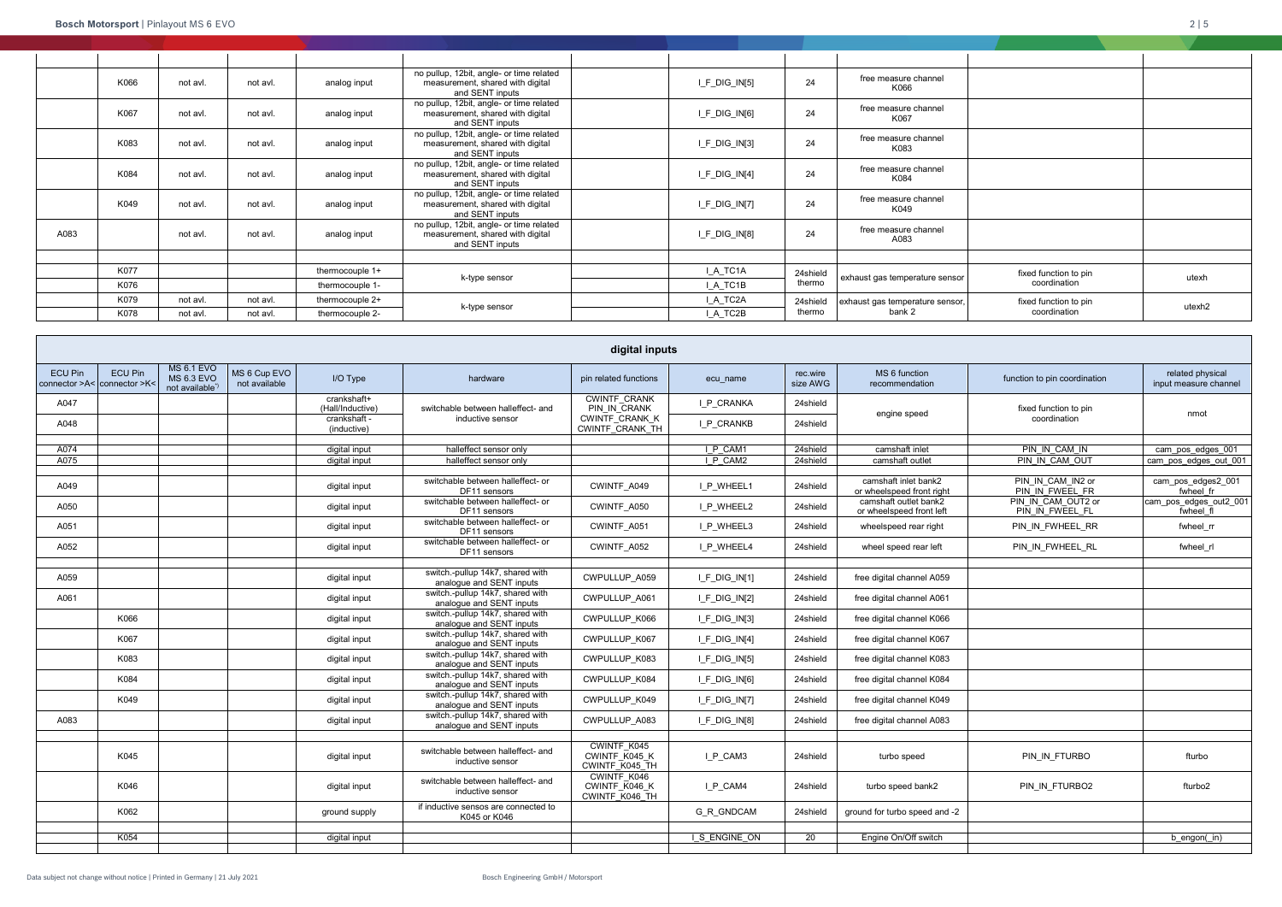|      | K066 | not avl. | not avl. | analog input    | no pullup, 12bit, angle- or time related<br>measurement, shared with digital<br>and SENT inputs | I_F_DIG_IN[5] | 24       | free measure channel<br>K066   |                       |        |
|------|------|----------|----------|-----------------|-------------------------------------------------------------------------------------------------|---------------|----------|--------------------------------|-----------------------|--------|
|      | K067 | not avl. | not avl. | analog input    | no pullup, 12bit, angle- or time related<br>measurement, shared with digital<br>and SENT inputs | I_F_DIG_IN[6] | 24       | free measure channel<br>K067   |                       |        |
|      | K083 | not avl. | not avl. | analog input    | no pullup, 12bit, angle- or time related<br>measurement, shared with digital<br>and SENT inputs | I_F_DIG_IN[3] | 24       | free measure channel<br>K083   |                       |        |
|      | K084 | not avl. | not avl. | analog input    | no pullup, 12bit, angle- or time related<br>measurement, shared with digital<br>and SENT inputs | I_F_DIG_IN[4] | 24       | free measure channel<br>K084   |                       |        |
|      | K049 | not avl. | not avl. | analog input    | no pullup, 12bit, angle- or time related<br>measurement, shared with digital<br>and SENT inputs | I_F_DIG_IN[7] | 24       | free measure channel<br>K049   |                       |        |
| A083 |      | not avl. | not avl. | analog input    | no pullup, 12bit, angle- or time related<br>measurement, shared with digital<br>and SENT inputs | I_F_DIG_IN[8] | 24       | free measure channel<br>A083   |                       |        |
|      |      |          |          |                 |                                                                                                 |               |          |                                |                       |        |
|      | K077 |          |          | thermocouple 1+ |                                                                                                 | I_A_TC1A      | 24shield |                                | fixed function to pin |        |
|      | K076 |          |          | thermocouple 1- | k-type sensor                                                                                   | I_A_TC1B      | thermo   | exhaust gas temperature sensor | coordination          | utexh  |
|      | K079 | not avl. | not avl. | thermocouple 2+ |                                                                                                 | I_A_TC2A      | 24shield | exhaust gas temperature sensor | fixed function to pin | utexh2 |
|      | K078 | not avl. | not avl. | thermocouple 2- | k-type sensor                                                                                   | I_A_TC2B      | thermo   | bank 2                         | coordination          |        |

|                                              |                |                                                                      |                               |                                 |                                                              | digital inputs                                 |                      |                      |                                                   |                                       |                                            |
|----------------------------------------------|----------------|----------------------------------------------------------------------|-------------------------------|---------------------------------|--------------------------------------------------------------|------------------------------------------------|----------------------|----------------------|---------------------------------------------------|---------------------------------------|--------------------------------------------|
| <b>ECU Pin</b><br>connector >A< connector >K | <b>ECU Pin</b> | <b>MS 6.1 EVO</b><br><b>MS 6.3 EVO</b><br>not available <sup>*</sup> | MS 6 Cup EVO<br>not available | I/O Type                        | hardware                                                     | pin related functions                          | ecu name             | rec.wire<br>size AWG | MS 6 function<br>recommendation                   | function to pin coordination          | related physical<br>input measure channel  |
| A047                                         |                |                                                                      |                               | crankshaft+<br>(Hall/Inductive) | switchable between halleffect- and                           | <b>CWINTF CRANK</b><br>PIN IN CRANK            | I P CRANKA           | 24shield             |                                                   | fixed function to pin                 | nmot                                       |
| A048                                         |                |                                                                      |                               | crankshaft -<br>(inductive)     | inductive sensor                                             | CWINTF CRANK K<br>CWINTF CRANK TH              | I P CRANKB           | 24shield             | engine speed                                      | coordination                          |                                            |
|                                              |                |                                                                      |                               |                                 |                                                              |                                                |                      |                      |                                                   |                                       |                                            |
| A074<br>A075                                 |                |                                                                      |                               | digital input<br>digital input  | halleffect sensor only<br>halleffect sensor only             |                                                | I P CAM1<br>I P CAM2 | 24shield<br>24shield | camshaft inlet<br>camshaft outlet                 | PIN IN CAM IN<br>PIN IN CAM OUT       | cam pos edges 001<br>cam pos edges out 001 |
|                                              |                |                                                                      |                               |                                 |                                                              |                                                |                      |                      |                                                   |                                       |                                            |
| A049                                         |                |                                                                      |                               | digital input                   | switchable between halleffect- or<br>DF11 sensors            | CWINTF A049                                    | I P WHEEL1           | 24shield             | camshaft inlet bank2<br>or wheelspeed front right | PIN IN CAM IN2 or<br>PIN IN FWEEL FR  | cam pos edges2 001<br>fwheel fr            |
| A050                                         |                |                                                                      |                               | digital input                   | switchable between halleffect- or<br>DF11 sensors            | CWINTF_A050                                    | I P WHEEL2           | 24shield             | camshaft outlet bank2<br>or wheelspeed front left | PIN IN CAM OUT2 or<br>PIN IN FWEEL FL | cam_pos_edges_out2_001<br>fwheel fl        |
| A051                                         |                |                                                                      |                               | digital input                   | switchable between halleffect- or<br>DF11 sensors            | CWINTF_A051                                    | I P WHEEL3           | 24shield             | wheelspeed rear right                             | PIN IN FWHEEL RR                      | fwheel rr                                  |
| A052                                         |                |                                                                      |                               | digital input                   | switchable between halleffect- or<br>DF11 sensors            | CWINTF A052                                    | I P WHEEL4           | 24shield             | wheel speed rear left                             | PIN IN FWHEEL RL                      | fwheel rl                                  |
|                                              |                |                                                                      |                               |                                 |                                                              |                                                |                      |                      |                                                   |                                       |                                            |
| A059                                         |                |                                                                      |                               | digital input                   | switch.-pullup 14k7, shared with<br>analogue and SENT inputs | CWPULLUP_A059                                  | I_F_DIG_IN[1]        | 24shield             | free digital channel A059                         |                                       |                                            |
| A061                                         |                |                                                                      |                               | digital input                   | switch.-pullup 14k7, shared with<br>analogue and SENT inputs | CWPULLUP_A061                                  | I_F_DIG_IN[2]        | 24shield             | free digital channel A061                         |                                       |                                            |
|                                              | K066           |                                                                      |                               | digital input                   | switch.-pullup 14k7, shared with<br>analogue and SENT inputs | CWPULLUP K066                                  | I_F_DIG_IN[3]        | 24shield             | free digital channel K066                         |                                       |                                            |
|                                              | K067           |                                                                      |                               | digital input                   | switch.-pullup 14k7, shared with<br>analogue and SENT inputs | CWPULLUP K067                                  | I_F_DIG_IN[4]        | 24shield             | free digital channel K067                         |                                       |                                            |
|                                              | K083           |                                                                      |                               | digital input                   | switch.-pullup 14k7, shared with<br>analogue and SENT inputs | CWPULLUP K083                                  | I_F_DIG_IN[5]        | 24shield             | free digital channel K083                         |                                       |                                            |
|                                              | K084           |                                                                      |                               | digital input                   | switch.-pullup 14k7, shared with<br>analogue and SENT inputs | CWPULLUP_K084                                  | I_F_DIG_IN[6]        | 24shield             | free digital channel K084                         |                                       |                                            |
|                                              | K049           |                                                                      |                               | digital input                   | switch.-pullup 14k7, shared with<br>analogue and SENT inputs | CWPULLUP K049                                  | I_F_DIG_IN[7]        | 24shield             | free digital channel K049                         |                                       |                                            |
| A083                                         |                |                                                                      |                               | digital input                   | switch.-pullup 14k7, shared with<br>analogue and SENT inputs | CWPULLUP A083                                  | I_F_DIG_IN[8]        | 24shield             | free digital channel A083                         |                                       |                                            |
|                                              |                |                                                                      |                               |                                 |                                                              |                                                |                      |                      |                                                   |                                       |                                            |
|                                              | K045           |                                                                      |                               | digital input                   | switchable between halleffect- and<br>inductive sensor       | CWINTF K045<br>CWINTF K045 K<br>CWINTF K045 TH | I P CAM3             | 24shield             | turbo speed                                       | PIN IN FTURBO                         | fturbo                                     |
|                                              | K046           |                                                                      |                               | digital input                   | switchable between halleffect- and<br>inductive sensor       | CWINTF K046<br>CWINTF K046 K<br>CWINTF K046 TH | I P CAM4             | 24shield             | turbo speed bank2                                 | PIN IN FTURBO2                        | fturbo <sub>2</sub>                        |
|                                              | K062           |                                                                      |                               | ground supply                   | if inductive sensos are connected to<br>K045 or K046         |                                                | <b>G R GNDCAM</b>    | 24shield             | ground for turbo speed and -2                     |                                       |                                            |
|                                              |                |                                                                      |                               |                                 |                                                              |                                                |                      |                      |                                                   |                                       |                                            |
|                                              | K054           |                                                                      |                               | digital input                   |                                                              |                                                | I S ENGINE ON        | 20                   | Engine On/Off switch                              |                                       | b engon( in)                               |
|                                              |                |                                                                      |                               |                                 |                                                              |                                                |                      |                      |                                                   |                                       |                                            |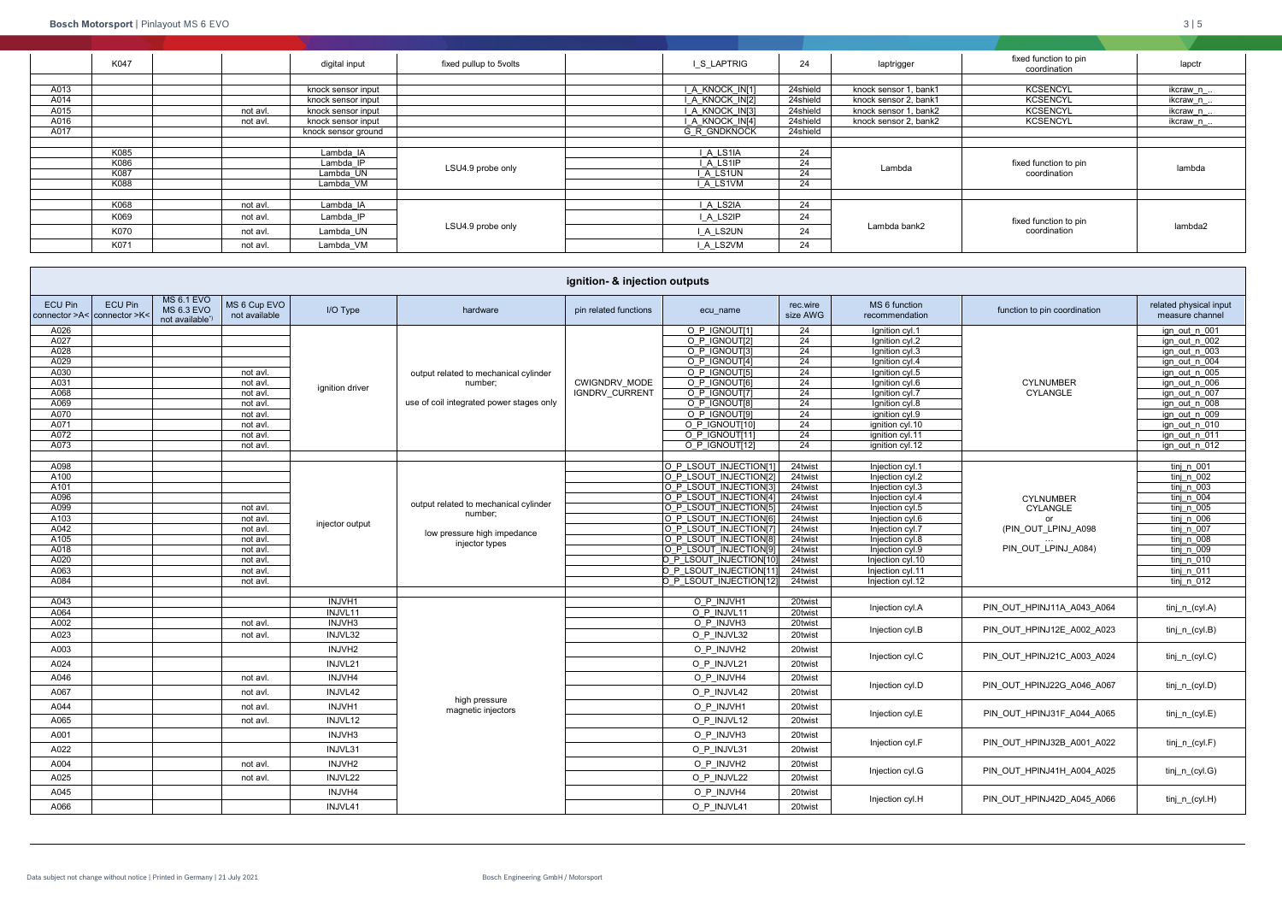| K047 |          | digital input       | fixed pullup to 5volts | I S LAPTRIG         | 24       | laptrigger            | fixed function to pin<br>coordination | lapctr    |
|------|----------|---------------------|------------------------|---------------------|----------|-----------------------|---------------------------------------|-----------|
|      |          |                     |                        |                     |          |                       |                                       |           |
| A013 |          | knock sensor input  |                        | I A KNOCK IN[1]     | 24shield | knock sensor 1, bank1 | <b>KCSENCYL</b>                       | ikcraw_n_ |
| A014 |          | knock sensor input  |                        | I A KNOCK IN[2]     | 24shield | knock sensor 2, bank1 | KCSENCYL                              | ikcraw n  |
| A015 | not avl. | knock sensor input  |                        | I A KNOCK IN[3]     | 24shield | knock sensor 1, bank2 | <b>KCSENCYL</b>                       | ikcraw n  |
| A016 | not avl. | knock sensor input  |                        | I A KNOCK IN[4]     | 24shield | knock sensor 2. bank2 | <b>KCSENCYL</b>                       | ikcraw n  |
| A017 |          | knock sensor ground |                        | <b>G R GNDKNOCK</b> | 24shield |                       |                                       |           |
|      |          |                     |                        |                     |          |                       |                                       |           |
| K085 |          | Lambda IA           |                        | I A LS1IA           | 24       |                       |                                       |           |
| K086 |          | Lambda IP           |                        | I A LS1IP           | -24      | Lambda                | fixed function to pin                 |           |
| K087 |          | Lambda UN           | LSU4.9 probe only      | I A LS1UN           | 24       |                       | coordination                          | lambda    |
| K088 |          | Lambda VM           |                        | I A LS1VM           | 24       |                       |                                       |           |
|      |          |                     |                        |                     |          |                       |                                       |           |
| K068 | not avl. | Lambda IA           |                        | I A LS2IA           | 24       |                       |                                       |           |
| K069 | not avl. | Lambda IP           |                        | I_A_LS2IP           | 24       |                       | fixed function to pin                 |           |
| K070 | not avl. | Lambda_UN           | LSU4.9 probe only      | I_A_LS2UN           | 24       | Lambda bank2          | coordination                          | lambda2   |
| K071 | not avl. | Lambda VM           |                        | L_A_LS2VM           | 24       |                       |                                       |           |

| ignition- & injection outputs   |                         |                                                                      |                               |                    |                                               |                       |                                                    |                       |                                      |                              |                                           |  |
|---------------------------------|-------------------------|----------------------------------------------------------------------|-------------------------------|--------------------|-----------------------------------------------|-----------------------|----------------------------------------------------|-----------------------|--------------------------------------|------------------------------|-------------------------------------------|--|
| <b>ECU Pin</b><br>connector >A< | ECU Pin<br>connector >K | <b>MS 6.1 EVO</b><br><b>MS 6.3 EVO</b><br>not available <sup>®</sup> | MS 6 Cup EVO<br>not available | I/O Type           | hardware                                      | pin related functions | ecu name                                           | rec.wire<br>size AWG  | MS 6 function<br>recommendation      | function to pin coordination | related physical input<br>measure channel |  |
| A026                            |                         |                                                                      |                               |                    |                                               |                       | O P IGNOUT[1]                                      | 24                    | Ignition cyl.1                       |                              | ign out n 001                             |  |
| A027                            |                         |                                                                      |                               |                    |                                               |                       | O P IGNOUT[2]                                      | 24                    | Ignition cyl.2                       |                              | ign_out_n_002                             |  |
| A028                            |                         |                                                                      |                               |                    |                                               |                       | O P IGNOUT[3]                                      | 24                    | Ignition cyl.3                       |                              | ign out n 003                             |  |
| A029                            |                         |                                                                      |                               |                    |                                               |                       | O P IGNOUT[4]                                      | 24                    | Ignition cyl.4                       |                              | ign out n 004                             |  |
| A030<br>A031                    |                         |                                                                      | not avl<br>not avl            |                    | output related to mechanical cylinder         | <b>CWIGNDRV MODE</b>  | O P IGNOUT[5]<br>O P IGNOUT[6]                     | $\overline{24}$<br>24 | Ignition cyl.5<br>Ignition cyl.6     | <b>CYLNUMBER</b>             | ign out n 005<br>ign out n 006            |  |
| A068                            |                         |                                                                      | not avl                       | ignition driver    | number;                                       | <b>IGNDRV CURRENT</b> | O P IGNOUT[7]                                      | 24                    | Ignition cyl.7                       | CYLANGLE                     | ign out n 007                             |  |
| A069                            |                         |                                                                      | not avl                       |                    | use of coil integrated power stages only      |                       | O P IGNOUT[8]                                      | 24                    | Ignition cyl.8                       |                              | ign out n 008                             |  |
| A070                            |                         |                                                                      | not avl                       |                    |                                               |                       | O P IGNOUT[9]                                      | 24                    | ignition cyl.9                       |                              | ign out n 009                             |  |
| A071                            |                         |                                                                      | not avl                       |                    |                                               |                       | O P IGNOUT[10]                                     | 24                    | ignition cyl.10                      |                              | ign out n 010                             |  |
| A072                            |                         |                                                                      | not avl                       |                    |                                               |                       | O P IGNOUT[11]                                     | 24                    | ignition cyl.11                      |                              | ign out n 011                             |  |
| A073                            |                         |                                                                      | not avl                       |                    |                                               |                       | O P IGNOUT[12]                                     | 24                    | ignition cyl.12                      |                              | ign out n 012                             |  |
|                                 |                         |                                                                      |                               |                    |                                               |                       |                                                    |                       |                                      |                              |                                           |  |
| A098<br>A100                    |                         |                                                                      |                               |                    |                                               |                       | O P LSOUT INJECTION[1]<br>O P LSOUT INJECTION[2]   | 24twist<br>24twist    | Injection cyl.1<br>Injection cyl.2   |                              | tinj n 001<br>tinj n 002                  |  |
| A101                            |                         |                                                                      |                               |                    |                                               |                       | O P LSOUT INJECTION[3]                             | 24twist               | Injection cyl.3                      |                              | tinj n 003                                |  |
| A096                            |                         |                                                                      |                               |                    |                                               |                       | O P LSOUT INJECTION[4]                             | 24twist               | Injection cyl.4                      | <b>CYLNUMBER</b>             | tinj n 004                                |  |
| A099                            |                         |                                                                      | not avl                       |                    | output related to mechanical cylinder         |                       | O P LSOUT INJECTION[5]                             | 24twist               | Injection cyl.5                      | CYLANGLE                     | tinj n 005                                |  |
| A103                            |                         |                                                                      | not avl                       |                    | number;                                       |                       | O P LSOUT INJECTION[6]                             | 24twist               | Injection cyl.6                      | or                           | tinj n 006                                |  |
| A042                            |                         |                                                                      | not avl                       | injector output    | low pressure high impedance<br>injector types |                       | O P LSOUT INJECTION[7]                             | 24twist               | Injection cyl.7                      | (PIN_OUT_LPINJ_A098          | tinj n 007                                |  |
| A105                            |                         |                                                                      | not avl                       |                    |                                               |                       | O P LSOUT INJECTION[8]                             | 24twist               | Injection cyl.8                      |                              | tinj n 008                                |  |
| A018                            |                         |                                                                      | not avl                       |                    |                                               |                       | O P LSOUT INJECTION[9]                             | 24twist               | Injection cyl.9                      | PIN_OUT_LPINJ_A084)          | tinj n 009                                |  |
| A020<br>A063                    |                         |                                                                      | not avl<br>not avl            |                    |                                               |                       | O P LSOUT INJECTION[10]<br>O P LSOUT INJECTION[11] | 24twist<br>24twist    | Injection cyl.10                     |                              | tinj n 010<br>tinj n $011$                |  |
| A084                            |                         |                                                                      | not avl                       |                    |                                               |                       | O P LSOUT INJECTION[12]                            | 24twist               | Injection cyl.11<br>Injection cyl.12 |                              | tinj n $012$                              |  |
|                                 |                         |                                                                      |                               |                    |                                               |                       |                                                    |                       |                                      |                              |                                           |  |
| A043                            |                         |                                                                      |                               | INJVH1             |                                               |                       | O P INJVH1                                         | 20twist               | Injection cyl.A                      | PIN_OUT_HPINJ11A_A043_A064   | tinj_n_(cyl.A)                            |  |
| A064                            |                         |                                                                      |                               | INJVL11            |                                               |                       | O P INJVL11                                        | 20twist               |                                      |                              |                                           |  |
| A002                            |                         |                                                                      | not avl                       | INJVH3             |                                               |                       | O P INJVH3                                         | 20twist               | Injection cyl.B                      | PIN OUT HPINJ12E A002 A023   | tinj_n_(cyl.B)                            |  |
| A023                            |                         |                                                                      | not avl                       | INJVL32            |                                               |                       | O_P_INJVL32                                        | 20twist               |                                      |                              |                                           |  |
| A003                            |                         |                                                                      |                               | INJVH <sub>2</sub> |                                               |                       | O_P_INJVH2                                         | 20twist               | Injection cyl.C                      | PIN_OUT_HPINJ21C_A003_A024   | $\lim_{n \to \infty}$ (cyl.C)             |  |
| A024                            |                         |                                                                      |                               | INJVL21            |                                               |                       | O P INJVL21                                        | 20twist               |                                      |                              |                                           |  |
| A046                            |                         |                                                                      | not avl                       | INJVH4             |                                               |                       | O P INJVH4                                         | 20twist               | Injection cyl.D                      | PIN_OUT_HPINJ22G_A046_A067   | tinj_n_(cyl.D)                            |  |
| A067                            |                         |                                                                      | not avl                       | INJVL42            | high pressure                                 |                       | O_P_INJVL42                                        | 20twist               |                                      |                              |                                           |  |
| A044                            |                         |                                                                      | not avl                       | INJVH1             | magnetic injectors                            |                       | O_P_INJVH1                                         | 20twist               | Injection cyl.E                      | PIN_OUT_HPINJ31F_A044_A065   | tinj_n_(cyl.E)                            |  |
| A065                            |                         |                                                                      | not avl                       | INJVL12            |                                               |                       | O P INJVL12                                        | 20twist               |                                      |                              |                                           |  |
| A001                            |                         |                                                                      |                               | INJVH3             |                                               |                       | O_P_INJVH3                                         | 20twist               | Injection cyl.F                      | PIN_OUT_HPINJ32B_A001_A022   | tinj_n_(cyl.F)                            |  |
| A022                            |                         |                                                                      |                               | INJVL31            |                                               |                       | O_P_INJVL31                                        | 20twist               |                                      |                              |                                           |  |
| A004                            |                         |                                                                      | not avl                       | INJVH <sub>2</sub> |                                               |                       | O P INJVH2                                         | 20twist               | Injection cyl.G                      |                              | tinj_n_(cyl.G)                            |  |
| A025                            |                         |                                                                      | not avl                       | INJVL22            |                                               |                       | O P INJVL22                                        | 20twist               |                                      | PIN_OUT_HPINJ41H_A004_A025   |                                           |  |
| A045                            |                         |                                                                      |                               | INJVH4             |                                               |                       | O P INJVH4                                         | 20twist               | Injection cyl.H                      | PIN_OUT_HPINJ42D_A045_A066   | $\lim_{n \to \infty}$ (cyl.H)             |  |
| A066                            |                         |                                                                      |                               | INJVL41            |                                               |                       | O P INJVL41                                        | 20twist               |                                      |                              |                                           |  |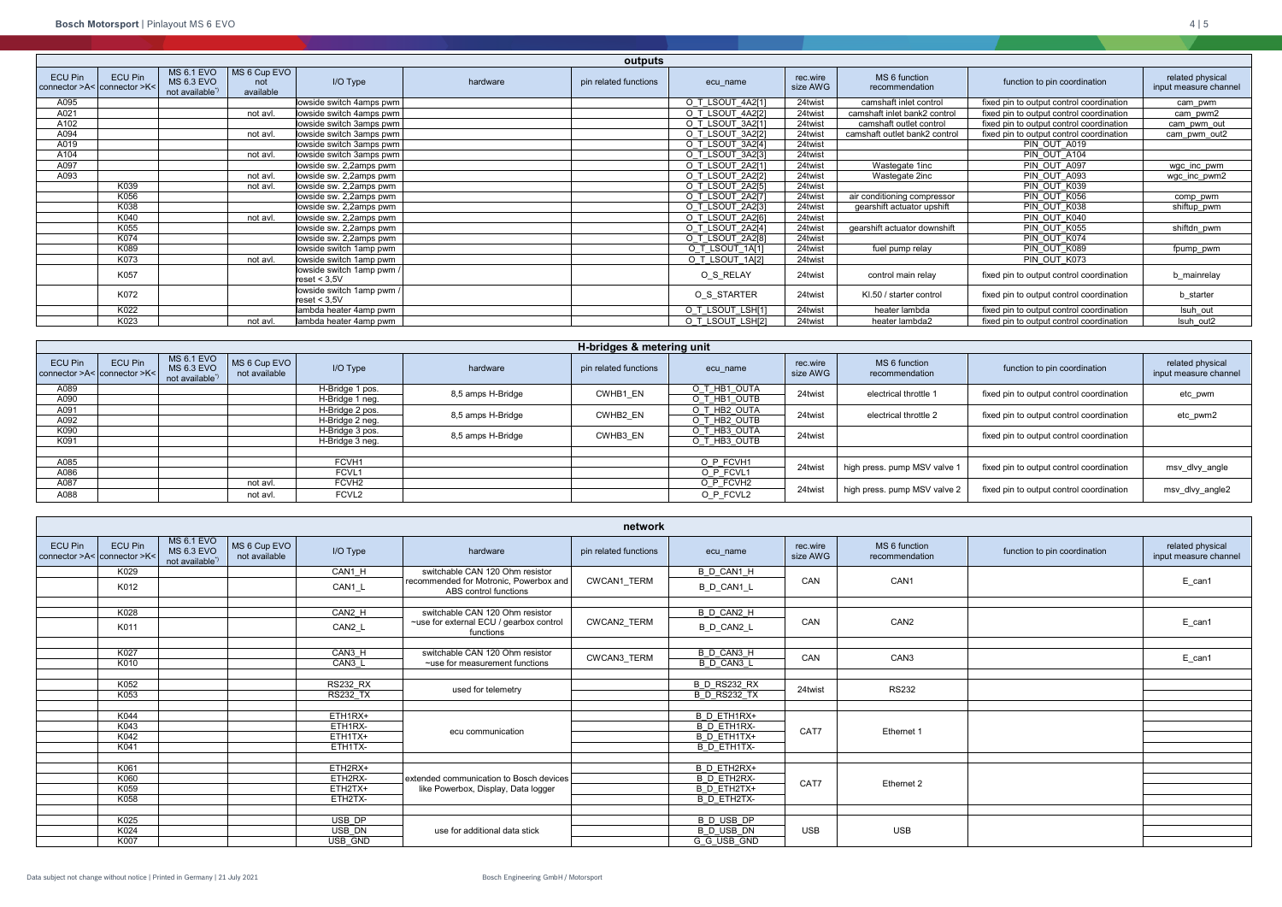|                                               | outputs        |                                                                       |                                  |                                           |          |                       |                  |                      |                                 |                                          |                                           |  |  |  |
|-----------------------------------------------|----------------|-----------------------------------------------------------------------|----------------------------------|-------------------------------------------|----------|-----------------------|------------------|----------------------|---------------------------------|------------------------------------------|-------------------------------------------|--|--|--|
| <b>ECU Pin</b><br>connector >A< connector >K< | <b>ECU Pin</b> | <b>MS 6.1 EVO</b><br><b>MS 6.3 EVO</b><br>not available <sup>*)</sup> | MS 6 Cup EVO<br>not<br>available | I/O Type                                  | hardware | pin related functions | ecu name         | rec.wire<br>size AWG | MS 6 function<br>recommendation | function to pin coordination             | related physical<br>input measure channel |  |  |  |
| A095                                          |                |                                                                       |                                  | lowside switch 4amps pwm                  |          |                       | O T LSOUT 4A2[1] | 24twist              | camshaft inlet control          | fixed pin to output control coordination | cam pwm                                   |  |  |  |
| A021                                          |                |                                                                       | not avl.                         | lowside switch 4amps pwm                  |          |                       | O T LSOUT 4A2[2] | 24twist              | camshaft inlet bank2 control    | fixed pin to output control coordination | cam pwm2                                  |  |  |  |
| A102                                          |                |                                                                       |                                  | lowside switch 3amps pwm                  |          |                       | O T LSOUT 3A2[1] | 24twist              | camshaft outlet control         | fixed pin to output control coordination | cam pwm out                               |  |  |  |
| A094                                          |                |                                                                       | not avl.                         | lowside switch 3amps pwm                  |          |                       | O T LSOUT 3A2[2] | 24twist              | camshaft outlet bank2 control   | fixed pin to output control coordination | cam pwm out2                              |  |  |  |
| A019                                          |                |                                                                       |                                  | lowside switch 3amps pwm                  |          |                       | O T LSOUT 3A2[4] | 24twist              |                                 | PIN OUT A019                             |                                           |  |  |  |
| A104                                          |                |                                                                       | not avl.                         | lowside switch 3amps pwm                  |          |                       | O T LSOUT 3A2[3] | 24twist              |                                 | PIN OUT A104                             |                                           |  |  |  |
| A097                                          |                |                                                                       |                                  | lowside sw. 2,2amps pwm                   |          |                       | O T LSOUT 2A2[1] | 24twist              | Wastegate 1inc                  | PIN OUT A097                             | wgc inc pwm                               |  |  |  |
| A093                                          |                |                                                                       | not avl.                         | lowside sw. 2,2amps pwm                   |          |                       | O T LSOUT 2A2[2] | 24twist              | Wastegate 2inc                  | PIN OUT A093                             | wgc inc pwm2                              |  |  |  |
|                                               | K039           |                                                                       | not avl.                         | lowside sw. 2,2amps pwm                   |          |                       | O T LSOUT 2A2[5] | 24twist              |                                 | PIN OUT K039                             |                                           |  |  |  |
|                                               | K056           |                                                                       |                                  | lowside sw. 2,2amps pwm                   |          |                       | O T LSOUT 2A2[7] | 24twist              | air conditioning compressor     | PIN OUT K056                             | comp pwm                                  |  |  |  |
|                                               | K038           |                                                                       |                                  | lowside sw. 2,2amps pwm                   |          |                       | O T LSOUT 2A2[3] | 24twist              | gearshift actuator upshift      | PIN OUT K038                             | shiftup pwm                               |  |  |  |
|                                               | K040           |                                                                       | not avl.                         | lowside sw. 2,2amps pwm                   |          |                       | O T LSOUT 2A2[6] | 24twist              |                                 | PIN OUT K040                             |                                           |  |  |  |
|                                               | K055           |                                                                       |                                  | lowside sw. 2,2amps pwm                   |          |                       | O T LSOUT 2A2[4] | 24twist              | gearshift actuator downshift    | PIN OUT K055                             | shiftdn pwm                               |  |  |  |
|                                               | K074           |                                                                       |                                  | lowside sw. 2,2amps pwm                   |          |                       | O T LSOUT 2A2[8] | 24twist              |                                 | PIN OUT K074                             |                                           |  |  |  |
|                                               | K089           |                                                                       |                                  | lowside switch 1amp pwm                   |          |                       | O T LSOUT 1A[1]  | 24twist              | fuel pump relay                 | PIN OUT K089                             | fpump pwm                                 |  |  |  |
|                                               | K073           |                                                                       | not avl.                         | lowside switch 1amp pwm                   |          |                       | O T LSOUT 1A[2]  | 24twist              |                                 | PIN OUT K073                             |                                           |  |  |  |
|                                               | K057           |                                                                       |                                  | lowside switch 1amp pwm /<br>reset < 3.5V |          |                       | O S RELAY        | 24twist              | control main relay              | fixed pin to output control coordination | b mainrelay                               |  |  |  |
|                                               | K072           |                                                                       |                                  | lowside switch 1amp pwm /<br>reset < 3.5V |          |                       | O S STARTER      | 24twist              | KI.50 / starter control         | fixed pin to output control coordination | b starter                                 |  |  |  |
|                                               | K022           |                                                                       |                                  | lambda heater 4amp pwm                    |          |                       | O T LSOUT LSH[1] | 24twist              | heater lambda                   | fixed pin to output control coordination | Isuh out                                  |  |  |  |
|                                               | K023           |                                                                       | not avl.                         | lambda heater 4amp pwm                    |          |                       | O T LSOUT LSHI2  | 24twist              | heater lambda2                  | fixed pin to output control coordination | Isuh out2                                 |  |  |  |

|                                               |                |                                                                       |                               |                   |                   | H-bridges & metering unit |              |                      |                                 |                                          |                                           |
|-----------------------------------------------|----------------|-----------------------------------------------------------------------|-------------------------------|-------------------|-------------------|---------------------------|--------------|----------------------|---------------------------------|------------------------------------------|-------------------------------------------|
| <b>ECU Pin</b><br>connector >A< connector >K< | <b>ECU Pin</b> | <b>MS 6.1 EVO</b><br><b>MS 6.3 EVO</b><br>not available <sup>*)</sup> | MS 6 Cup EVO<br>not available | I/O Type          | hardware          | pin related functions     | ecu name     | rec.wire<br>size AWG | MS 6 function<br>recommendation | function to pin coordination             | related physical<br>input measure channel |
| A089                                          |                |                                                                       |                               | H-Bridge 1 pos.   | 8,5 amps H-Bridge | CWHB1 EN                  | O_T_HB1_OUTA | 24twist              | electrical throttle 1           | fixed pin to output control coordination | etc pwm                                   |
| A090                                          |                |                                                                       |                               | H-Bridge 1 neg.   |                   |                           | O T HB1 OUTB |                      |                                 |                                          |                                           |
| A091                                          |                |                                                                       |                               | H-Bridge 2 pos.   | 8,5 amps H-Bridge | CWHB2 EN                  | O T HB2 OUTA | 24twist              | electrical throttle 2           | fixed pin to output control coordination | etc pwm2                                  |
| A092                                          |                |                                                                       |                               | H-Bridge 2 neg.   |                   |                           | O T HB2 OUTB |                      |                                 |                                          |                                           |
| K090                                          |                |                                                                       |                               | H-Bridge 3 pos.   |                   |                           | O T HB3 OUTA | 24twist              |                                 |                                          |                                           |
| K091                                          |                |                                                                       |                               | H-Bridge 3 neg.   | 8,5 amps H-Bridge | CWHB3 EN                  | O T HB3 OUTB |                      |                                 | fixed pin to output control coordination |                                           |
|                                               |                |                                                                       |                               |                   |                   |                           |              |                      |                                 |                                          |                                           |
| A085                                          |                |                                                                       |                               | FCVH1             |                   |                           | O P FCVH1    | 24twis               | high press. pump MSV valve 1    | fixed pin to output control coordination |                                           |
| A086                                          |                |                                                                       |                               | FCVL1             |                   |                           | O P FCVL1    |                      |                                 |                                          | msv_dlvy_angle                            |
| A087                                          |                |                                                                       | not avl.                      | FCVH <sub>2</sub> |                   |                           | O P FCVH2    |                      |                                 |                                          |                                           |
| A088                                          |                |                                                                       | not avl.                      | FCVL <sub>2</sub> |                   |                           | O P FCVL2    | 24twist              | high press. pump MSV valve 2    | fixed pin to output control coordination | msv_dlvy_angle2                           |

|                                               |                |                                                                       |                               |                    |                                                                 | network               |                     |                      |                                 |                              |                                           |
|-----------------------------------------------|----------------|-----------------------------------------------------------------------|-------------------------------|--------------------|-----------------------------------------------------------------|-----------------------|---------------------|----------------------|---------------------------------|------------------------------|-------------------------------------------|
| <b>ECU Pin</b><br>connector >A< connector >K< | <b>ECU Pin</b> | <b>MS 6.1 EVO</b><br><b>MS 6.3 EVO</b><br>not available <sup>*)</sup> | MS 6 Cup EVO<br>not available | I/O Type           | hardware                                                        | pin related functions | ecu name            | rec.wire<br>size AWG | MS 6 function<br>recommendation | function to pin coordination | related physical<br>input measure channel |
|                                               | K029           |                                                                       |                               | CAN1 H             | switchable CAN 120 Ohm resistor                                 |                       | B D CAN1 H          |                      |                                 |                              |                                           |
|                                               | K012           |                                                                       |                               | CAN1_L             | recommended for Motronic, Powerbox and<br>ABS control functions | CWCAN1_TERM           | B_D_CAN1_L          | CAN                  | CAN1                            |                              | E_can1                                    |
|                                               |                |                                                                       |                               |                    |                                                                 |                       |                     |                      |                                 |                              |                                           |
|                                               | K028           |                                                                       |                               | CAN2 H             | switchable CAN 120 Ohm resistor                                 |                       | B D CAN2 H          |                      |                                 |                              |                                           |
|                                               | K011           |                                                                       |                               | CAN2_L             | ~use for external ECU / gearbox control<br>functions            | CWCAN2_TERM           | B_D_CAN2_L          | CAN                  | CAN <sub>2</sub>                |                              | E_can1                                    |
|                                               |                |                                                                       |                               |                    |                                                                 |                       |                     |                      |                                 |                              |                                           |
|                                               | K027           |                                                                       |                               | CAN3 H             | switchable CAN 120 Ohm resistor                                 | CWCAN3_TERM           | B D CAN3 H          | CAN                  | CAN3                            |                              | $E$ <sub>can1</sub>                       |
|                                               | K010           |                                                                       |                               | CAN <sub>3</sub> L | ~use for measurement functions                                  |                       | <b>B D CAN3 L</b>   |                      |                                 |                              |                                           |
|                                               | K052           |                                                                       |                               | RS232 RX           |                                                                 |                       | <b>B D RS232 RX</b> |                      |                                 |                              |                                           |
|                                               | K053           |                                                                       |                               | <b>RS232 TX</b>    | used for telemetry                                              |                       | B D RS232 TX        | 24twist              | <b>RS232</b>                    |                              |                                           |
|                                               |                |                                                                       |                               |                    |                                                                 |                       |                     |                      |                                 |                              |                                           |
|                                               | K044           |                                                                       |                               | ETH1RX+            |                                                                 |                       | <b>B D ETH1RX+</b>  |                      |                                 |                              |                                           |
|                                               | K043           |                                                                       |                               | ETH1RX-            |                                                                 |                       | B D ETH1RX-         |                      |                                 |                              |                                           |
|                                               | K042           |                                                                       |                               | ETH1TX+            | ecu communication                                               |                       | B D ETH1TX+         | CAT7                 | Ethernet 1                      |                              |                                           |
|                                               | K041           |                                                                       |                               | ETH1TX-            |                                                                 |                       | B D ETH1TX-         |                      |                                 |                              |                                           |
|                                               |                |                                                                       |                               |                    |                                                                 |                       |                     |                      |                                 |                              |                                           |
|                                               | K061           |                                                                       |                               | ETH2RX+            |                                                                 |                       | B D ETH2RX+         |                      |                                 |                              |                                           |
|                                               | K060           |                                                                       |                               | ETH2RX-            | extended communication to Bosch devices                         |                       | B D ETH2RX-         | CAT7                 | Ethernet 2                      |                              |                                           |
|                                               | K059           |                                                                       |                               | ETH2TX+            | like Powerbox, Display, Data logger                             |                       | B D ETH2TX+         |                      |                                 |                              |                                           |
|                                               | K058           |                                                                       |                               | ETH2TX-            |                                                                 |                       | B D ETH2TX-         |                      |                                 |                              |                                           |
|                                               |                |                                                                       |                               |                    |                                                                 |                       |                     |                      |                                 |                              |                                           |
|                                               | K025           |                                                                       |                               | USB DP             |                                                                 |                       | <b>BDUSBDP</b>      |                      |                                 |                              |                                           |
|                                               | K024           |                                                                       |                               | USB DN             | use for additional data stick                                   |                       | B D USB DN          | <b>USB</b>           | <b>USB</b>                      |                              |                                           |
|                                               | K007           |                                                                       |                               | USB GND            |                                                                 |                       | G G USB GND         |                      |                                 |                              |                                           |